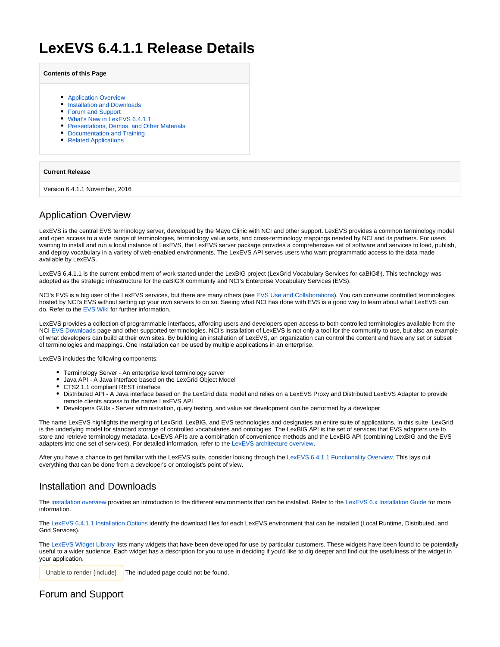# **LexEVS 6.4.1.1 Release Details**

#### **Contents of this Page**

- **[Application Overview](#page-0-0)**
- **[Installation and Downloads](#page-0-1)**
- [Forum and Support](#page-0-2)
- [What's New in LexEVS 6.4.1.1](#page-1-0)
- **[Presentations, Demos, and Other Materials](#page-1-1)**
- [Documentation and Training](#page-1-2)
- [Related Applications](#page-1-3)

#### **Current Release**

Version 6.4.1.1 November, 2016

# <span id="page-0-0"></span>Application Overview

LexEVS is the central EVS terminology server, developed by the Mayo Clinic with NCI and other support. LexEVS provides a common terminology model and open access to a wide range of terminologies, terminology value sets, and cross-terminology mappings needed by NCI and its partners. For users wanting to install and run a local instance of LexEVS, the LexEVS server package provides a comprehensive set of software and services to load, publish, and deploy vocabulary in a variety of web-enabled environments. The LexEVS API serves users who want programmatic access to the data made available by LexEVS.

LexEVS 6.4.1.1 is the current embodiment of work started under the LexBIG project (LexGrid Vocabulary Services for caBIG®). This technology was adopted as the strategic infrastructure for the caBIG® community and NCI's Enterprise Vocabulary Services (EVS).

NCI's EVS is a big user of the LexEVS services, but there are many others (see [EVS Use and Collaborations](https://wiki.nci.nih.gov/x/dYf_Ag)). You can consume controlled terminologies hosted by NCI's EVS without setting up your own servers to do so. Seeing what NCI has done with EVS is a good way to learn about what LexEVS can do. Refer to the [EVS Wiki](https://wiki.nci.nih.gov/display/EVS/EVS+Wiki) for further information.

LexEVS provides a collection of programmable interfaces, affording users and developers open access to both controlled terminologies available from the NCI [EVS Downloads](http://ncicb.nci.nih.gov/download/evsportal.jsp) page and other supported terminologies. NCI's installation of LexEVS is not only a tool for the community to use, but also an example of what developers can build at their own sites. By building an installation of LexEVS, an organization can control the content and have any set or subset of terminologies and mappings. One installation can be used by multiple applications in an enterprise.

LexEVS includes the following components:

- Terminology Server An enterprise level terminology server
- Java API A Java interface based on the LexGrid Object Model
- CTS2 1.1 compliant REST interface
- Distributed API A Java interface based on the LexGrid data model and relies on a LexEVS Proxy and Distributed LexEVS Adapter to provide remote clients access to the native LexEVS API
- Developers GUIs Server administration, query testing, and value set development can be performed by a developer

The name LexEVS highlights the merging of LexGrid, LexBIG, and EVS technologies and designates an entire suite of applications. In this suite, LexGrid is the underlying model for standard storage of controlled vocabularies and ontologies. The LexBIG API is the set of services that EVS adapters use to store and retrieve terminology metadata. LexEVS APIs are a combination of convenience methods and the LexBIG API (combining LexBIG and the EVS adapters into one set of services). For detailed information, refer to the [LexEVS architecture overview](https://wiki.nci.nih.gov/display/LexEVS/LexEVS+6.x+Architecture).

After you have a chance to get familiar with the LexEVS suite, consider looking through the [LexEVS 6.4.1.1 Functionality Overview](https://wiki.nci.nih.gov/display/LexEVS/LexEVS+6.4.1.1+Functionality+Overview). This lays out everything that can be done from a developer's or ontologist's point of view.

# <span id="page-0-1"></span>Installation and Downloads

The [installation overview](https://wiki.nci.nih.gov/display/LexEVS/1+-+LexEVS+6.x+Installation+Overview) provides an introduction to the different environments that can be installed. Refer to the [LexEVS 6.x Installation Guide](https://wiki.nci.nih.gov/display/LexEVS/LexEVS+6.x+Installation+Guide) for more information.

The [LexEVS 6.4.1.1 Installation Options](https://wiki.nci.nih.gov/display/LexEVS/LexEVS+6.4.1.1+Installation+Options) identify the download files for each LexEVS environment that can be installed (Local Runtime, Distributed, and Grid Services).

The [LexEVS Widget Library](https://wiki.nci.nih.gov/display/LexEVS/LexEVS+Widget+Library) lists many widgets that have been developed for use by particular customers. These widgets have been found to be potentially useful to a wider audience. Each widget has a description for you to use in deciding if you'd like to dig deeper and find out the usefulness of the widget in your application.

Unable to render {include} The included page could not be found.

# <span id="page-0-2"></span>Forum and Support